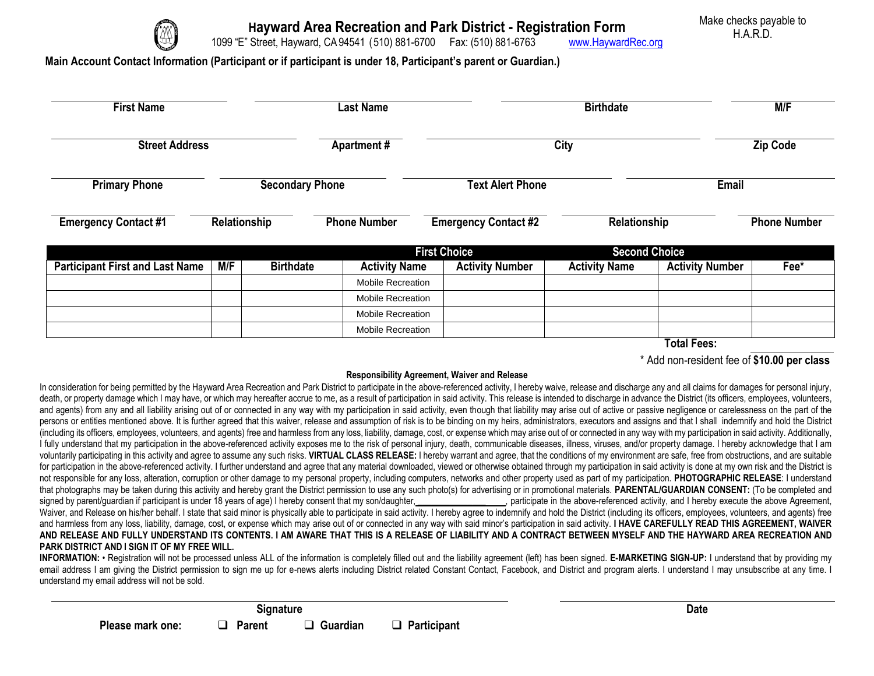

**Hayward Area Recreation and Park District - Registration Form**

Make checks payable to H.A.R.D.

1099 "E" Street, Hayward, CA 94541 (510) 881-6700 Fax: (510) 881-6763 [www.HaywardRec.org](http://www.haywardrec.org/)

## **Main Account Contact Information (Participant or if participant is under 18, Participant's parent or Guardian.)**

| <b>First Name</b>                      |              |                        | <b>Last Name</b>         |                             | <b>Birthdate</b>       |                      |                        | M/F             |  |
|----------------------------------------|--------------|------------------------|--------------------------|-----------------------------|------------------------|----------------------|------------------------|-----------------|--|
| <b>Street Address</b>                  |              |                        | <b>Apartment#</b>        |                             | <b>City</b>            |                      |                        | <b>Zip Code</b> |  |
| <b>Primary Phone</b>                   |              | <b>Secondary Phone</b> |                          | <b>Text Alert Phone</b>     |                        |                      | <b>Email</b>           |                 |  |
| <b>Emergency Contact #1</b>            | Relationship |                        | <b>Phone Number</b>      | <b>Emergency Contact #2</b> |                        |                      | Relationship           |                 |  |
|                                        |              |                        |                          |                             | <b>First Choice</b>    | <b>Second Choice</b> |                        |                 |  |
| <b>Participant First and Last Name</b> | M/F          | <b>Birthdate</b>       | <b>Activity Name</b>     |                             | <b>Activity Number</b> | <b>Activity Name</b> | <b>Activity Number</b> | Fee*            |  |
|                                        |              |                        | <b>Mobile Recreation</b> |                             |                        |                      |                        |                 |  |
|                                        |              |                        | <b>Mobile Recreation</b> |                             |                        |                      |                        |                 |  |
|                                        |              |                        | <b>Mobile Recreation</b> |                             |                        |                      |                        |                 |  |
|                                        |              |                        | <b>Mobile Recreation</b> |                             |                        |                      |                        |                 |  |

**Total Fees:**

\* Add non-resident fee of **\$10.00 per class**

## **Responsibility Agreement, Waiver and Release**

In consideration for being permitted by the Hayward Area Recreation and Park District to participate in the above-referenced activity, I hereby waive, release and discharge any and all claims for damages for personal injur death, or property damage which I may have, or which may hereafter accrue to me, as a result of participation in said activity. This release is intended to discharge in advance the District (its officers, employees, volunt and agents) from any and all liability arising out of or connected in any way with my participation in said activity, even though that liability may arise out of active or passive negligence or carelessness on the part of persons or entities mentioned above. It is further agreed that this waiver, release and assumption of risk is to be binding on my heirs, administrators, executors and assigns and that I shall indemnify and hold the Distric (including its officers, employees, volunteers, and agents) free and harmless from any loss, liability, damage, cost, or expense which may arise out of or connected in any way with my participation in said activity. Additi I fully understand that my participation in the above-referenced activity exposes me to the risk of personal injury, death, communicable diseases, illness, viruses, and/or property damage. I hereby acknowledge that I am voluntarily participating in this activity and agree to assume any such risks. VIRTUAL CLASS RELEASE: I hereby warrant and agree, that the conditions of my environment are safe, free from obstructions, and are suitable for participation in the above-referenced activity. I further understand and agree that any material downloaded, viewed or otherwise obtained through my participation in said activity is done at my own risk and the Distric not responsible for any loss, alteration, corruption or other damage to my personal property, including computers, networks and other property used as part of my participation. **PHOTOGRAPHIC RELEASE**: I understand that photographs may be taken during this activity and hereby grant the District permission to use any such photo(s) for advertising or in promotional materials. **PARENTAL/GUARDIAN CONSENT:** (To be completed and signed by parent/guardian if participant is under 18 years of age) I hereby consent that my son/daughter, execute in the above-referenced activity, and I hereby execute the above Agreement, Waiver, and Release on his/her behalf. I state that said minor is physically able to participate in said activity. I hereby agree to indemnify and hold the District (including its officers, employees, volunteers, and agent and harmless from any loss, liability, damage, cost, or expense which may arise out of or connected in any way with said minor's participation in said activity. **I HAVE CAREFULLY READ THIS AGREEMENT, WAIVER**  AND RELEASE AND FULLY UNDERSTAND ITS CONTENTS. I AM AWARE THAT THIS IS A RELEASE OF LIABILITY AND A CONTRACT BETWEEN MYSELF AND THE HAYWARD AREA RECREATION AND **PARK DISTRICT AND I SIGN IT OF MY FREE WILL.**

INFORMATION: • Registration will not be processed unless ALL of the information is completely filled out and the liability agreement (left) has been signed. E-MARKETING SIGN-UP: I understand that by providing my email address I am giving the District permission to sign me up for e-news alerts including District related Constant Contact, Facebook, and District and program alerts. I understand I may unsubscribe at any time. I understand my email address will not be sold.